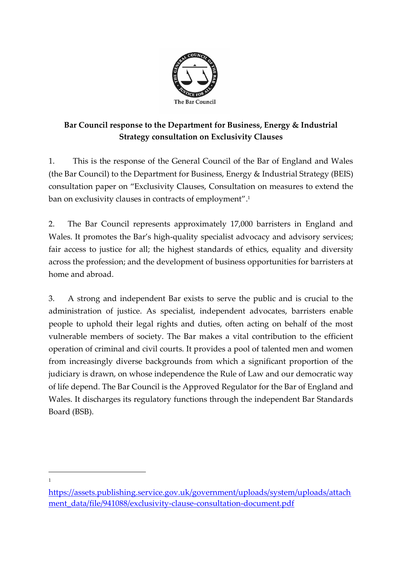

# **Bar Council response to the Department for Business, Energy & Industrial Strategy consultation on Exclusivity Clauses**

1. This is the response of the General Council of the Bar of England and Wales (the Bar Council) to the Department for Business, Energy & Industrial Strategy (BEIS) consultation paper on "Exclusivity Clauses, Consultation on measures to extend the ban on exclusivity clauses in contracts of employment". 1

2. The Bar Council represents approximately 17,000 barristers in England and Wales. It promotes the Bar's high-quality specialist advocacy and advisory services; fair access to justice for all; the highest standards of ethics, equality and diversity across the profession; and the development of business opportunities for barristers at home and abroad.

3. A strong and independent Bar exists to serve the public and is crucial to the administration of justice. As specialist, independent advocates, barristers enable people to uphold their legal rights and duties, often acting on behalf of the most vulnerable members of society. The Bar makes a vital contribution to the efficient operation of criminal and civil courts. It provides a pool of talented men and women from increasingly diverse backgrounds from which a significant proportion of the judiciary is drawn, on whose independence the Rule of Law and our democratic way of life depend. The Bar Council is the Approved Regulator for the Bar of England and Wales. It discharges its regulatory functions through the independent Bar Standards Board (BSB).

1

[https://assets.publishing.service.gov.uk/government/uploads/system/uploads/attach](https://assets.publishing.service.gov.uk/government/uploads/system/uploads/attachment_data/file/941088/exclusivity-clause-consultation-document.pdf) [ment\\_data/file/941088/exclusivity-clause-consultation-document.pdf](https://assets.publishing.service.gov.uk/government/uploads/system/uploads/attachment_data/file/941088/exclusivity-clause-consultation-document.pdf)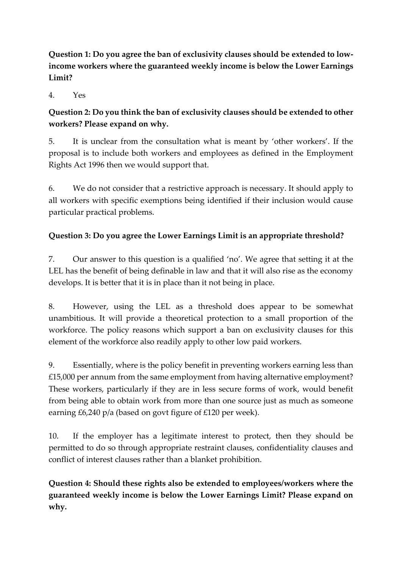**Question 1: Do you agree the ban of exclusivity clauses should be extended to lowincome workers where the guaranteed weekly income is below the Lower Earnings Limit?**

4. Yes

# **Question 2: Do you think the ban of exclusivity clauses should be extended to other workers? Please expand on why.**

5. It is unclear from the consultation what is meant by 'other workers'. If the proposal is to include both workers and employees as defined in the Employment Rights Act 1996 then we would support that.

6. We do not consider that a restrictive approach is necessary. It should apply to all workers with specific exemptions being identified if their inclusion would cause particular practical problems.

### **Question 3: Do you agree the Lower Earnings Limit is an appropriate threshold?**

7. Our answer to this question is a qualified 'no'. We agree that setting it at the LEL has the benefit of being definable in law and that it will also rise as the economy develops. It is better that it is in place than it not being in place.

8. However, using the LEL as a threshold does appear to be somewhat unambitious. It will provide a theoretical protection to a small proportion of the workforce. The policy reasons which support a ban on exclusivity clauses for this element of the workforce also readily apply to other low paid workers.

9. Essentially, where is the policy benefit in preventing workers earning less than £15,000 per annum from the same employment from having alternative employment? These workers, particularly if they are in less secure forms of work, would benefit from being able to obtain work from more than one source just as much as someone earning £6,240 p/a (based on govt figure of £120 per week).

10. If the employer has a legitimate interest to protect, then they should be permitted to do so through appropriate restraint clauses, confidentiality clauses and conflict of interest clauses rather than a blanket prohibition.

**Question 4: Should these rights also be extended to employees/workers where the guaranteed weekly income is below the Lower Earnings Limit? Please expand on why.**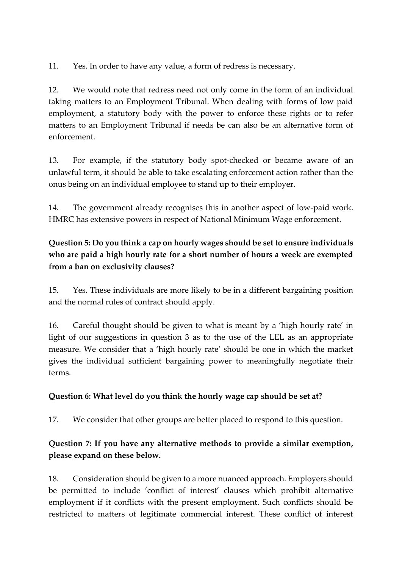11. Yes. In order to have any value, a form of redress is necessary.

12. We would note that redress need not only come in the form of an individual taking matters to an Employment Tribunal. When dealing with forms of low paid employment, a statutory body with the power to enforce these rights or to refer matters to an Employment Tribunal if needs be can also be an alternative form of enforcement.

13. For example, if the statutory body spot-checked or became aware of an unlawful term, it should be able to take escalating enforcement action rather than the onus being on an individual employee to stand up to their employer.

14. The government already recognises this in another aspect of low-paid work. HMRC has extensive powers in respect of National Minimum Wage enforcement.

#### **Question 5: Do you think a cap on hourly wages should be set to ensure individuals who are paid a high hourly rate for a short number of hours a week are exempted from a ban on exclusivity clauses?**

15. Yes. These individuals are more likely to be in a different bargaining position and the normal rules of contract should apply.

16. Careful thought should be given to what is meant by a 'high hourly rate' in light of our suggestions in question 3 as to the use of the LEL as an appropriate measure. We consider that a 'high hourly rate' should be one in which the market gives the individual sufficient bargaining power to meaningfully negotiate their terms.

#### **Question 6: What level do you think the hourly wage cap should be set at?**

17. We consider that other groups are better placed to respond to this question.

#### **Question 7: If you have any alternative methods to provide a similar exemption, please expand on these below.**

18. Consideration should be given to a more nuanced approach. Employers should be permitted to include 'conflict of interest' clauses which prohibit alternative employment if it conflicts with the present employment. Such conflicts should be restricted to matters of legitimate commercial interest. These conflict of interest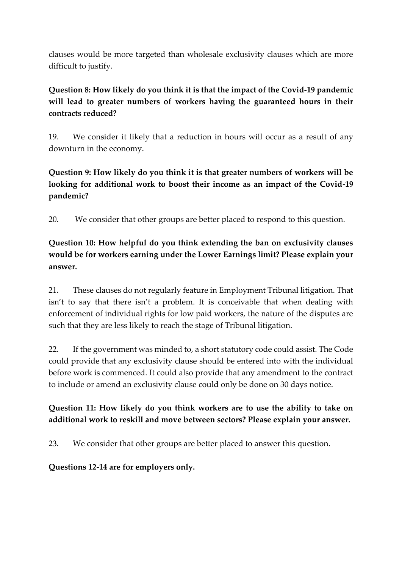clauses would be more targeted than wholesale exclusivity clauses which are more difficult to justify.

#### **Question 8: How likely do you think it is that the impact of the Covid-19 pandemic will lead to greater numbers of workers having the guaranteed hours in their contracts reduced?**

19. We consider it likely that a reduction in hours will occur as a result of any downturn in the economy.

## **Question 9: How likely do you think it is that greater numbers of workers will be looking for additional work to boost their income as an impact of the Covid-19 pandemic?**

20. We consider that other groups are better placed to respond to this question.

### **Question 10: How helpful do you think extending the ban on exclusivity clauses would be for workers earning under the Lower Earnings limit? Please explain your answer.**

21. These clauses do not regularly feature in Employment Tribunal litigation. That isn't to say that there isn't a problem. It is conceivable that when dealing with enforcement of individual rights for low paid workers, the nature of the disputes are such that they are less likely to reach the stage of Tribunal litigation.

22. If the government was minded to, a short statutory code could assist. The Code could provide that any exclusivity clause should be entered into with the individual before work is commenced. It could also provide that any amendment to the contract to include or amend an exclusivity clause could only be done on 30 days notice.

#### **Question 11: How likely do you think workers are to use the ability to take on additional work to reskill and move between sectors? Please explain your answer.**

23. We consider that other groups are better placed to answer this question.

**Questions 12-14 are for employers only.**